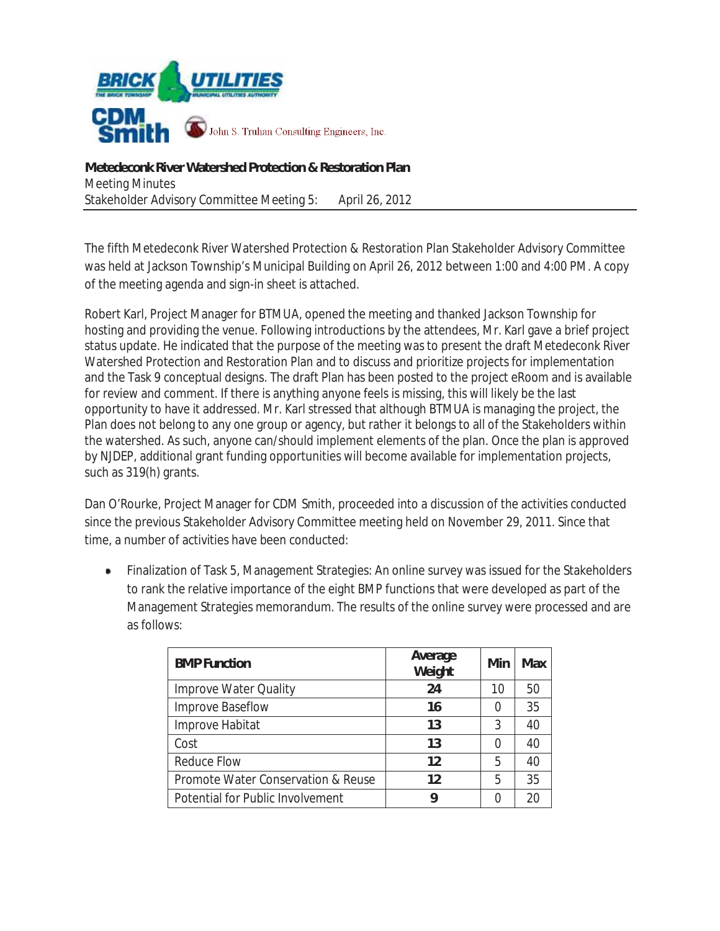

**Metedeconk River Watershed Protection & Restoration Plan**  Meeting Minutes Stakeholder Advisory Committee Meeting 5: April 26, 2012

The fifth Metedeconk River Watershed Protection & Restoration Plan Stakeholder Advisory Committee was held at Jackson Township's Municipal Building on April 26, 2012 between 1:00 and 4:00 PM. A copy of the meeting agenda and sign-in sheet is attached.

Robert Karl, Project Manager for BTMUA, opened the meeting and thanked Jackson Township for hosting and providing the venue. Following introductions by the attendees, Mr. Karl gave a brief project status update. He indicated that the purpose of the meeting was to present the draft Metedeconk River Watershed Protection and Restoration Plan and to discuss and prioritize projects for implementation and the Task 9 conceptual designs. The draft Plan has been posted to the project eRoom and is available for review and comment. If there is anything anyone feels is missing, this will likely be the last opportunity to have it addressed. Mr. Karl stressed that although BTMUA is managing the project, the Plan does not belong to any one group or agency, but rather it belongs to all of the Stakeholders within the watershed. As such, anyone can/should implement elements of the plan. Once the plan is approved by NJDEP, additional grant funding opportunities will become available for implementation projects, such as 319(h) grants.

Dan O'Rourke, Project Manager for CDM Smith, proceeded into a discussion of the activities conducted since the previous Stakeholder Advisory Committee meeting held on November 29, 2011. Since that time, a number of activities have been conducted:

Finalization of Task 5, Management Strategies: An online survey was issued for the Stakeholders  $\bullet$ to rank the relative importance of the eight BMP functions that were developed as part of the Management Strategies memorandum. The results of the online survey were processed and are as follows:

| <b>BMP Function</b>                | Average<br>Weight | Min              | Max |
|------------------------------------|-------------------|------------------|-----|
| <b>Improve Water Quality</b>       | 24                | 10               | 50  |
| Improve Baseflow                   | 16                | $\left( \right)$ | 35  |
| Improve Habitat                    | 13                | 3                | 40  |
| Cost                               | 13                | $\left( \right)$ | 40  |
| <b>Reduce Flow</b>                 | 12                | 5                | 40  |
| Promote Water Conservation & Reuse | 12                | 5                | 35  |
| Potential for Public Involvement   | g                 | 0                | 20  |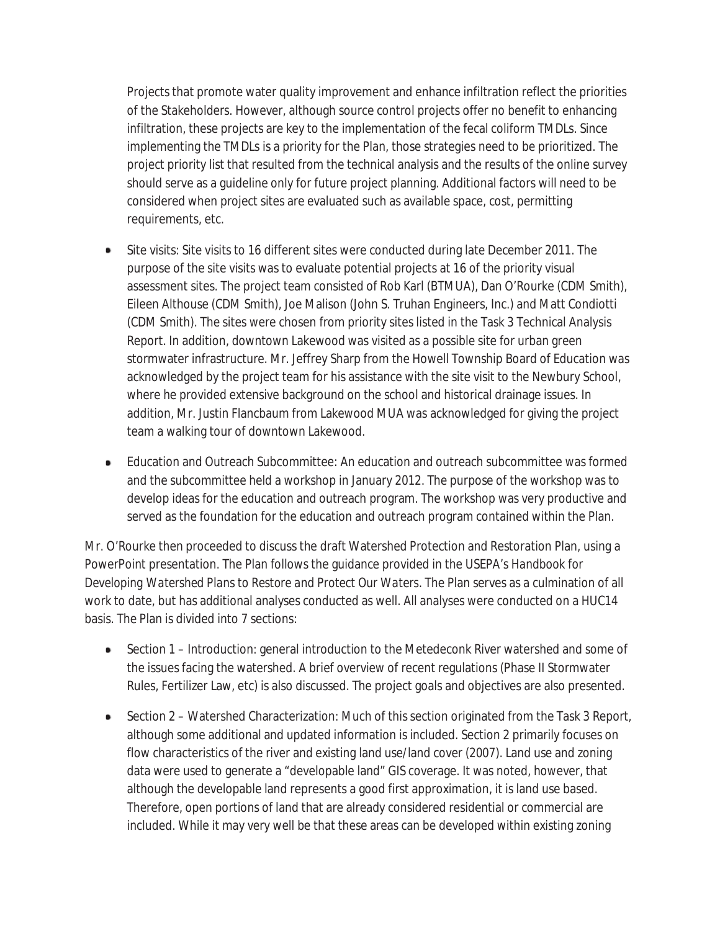Projects that promote water quality improvement and enhance infiltration reflect the priorities of the Stakeholders. However, although source control projects offer no benefit to enhancing infiltration, these projects are key to the implementation of the fecal coliform TMDLs. Since implementing the TMDLs is a priority for the Plan, those strategies need to be prioritized. The project priority list that resulted from the technical analysis and the results of the online survey should serve as a guideline only for future project planning. Additional factors will need to be considered when project sites are evaluated such as available space, cost, permitting requirements, etc.

- Site visits: Site visits to 16 different sites were conducted during late December 2011. The purpose of the site visits was to evaluate potential projects at 16 of the priority visual assessment sites. The project team consisted of Rob Karl (BTMUA), Dan O'Rourke (CDM Smith), Eileen Althouse (CDM Smith), Joe Malison (John S. Truhan Engineers, Inc.) and Matt Condiotti (CDM Smith). The sites were chosen from priority sites listed in the Task 3 Technical Analysis Report. In addition, downtown Lakewood was visited as a possible site for urban green stormwater infrastructure. Mr. Jeffrey Sharp from the Howell Township Board of Education was acknowledged by the project team for his assistance with the site visit to the Newbury School, where he provided extensive background on the school and historical drainage issues. In addition, Mr. Justin Flancbaum from Lakewood MUA was acknowledged for giving the project team a walking tour of downtown Lakewood.
- Education and Outreach Subcommittee: An education and outreach subcommittee was formed and the subcommittee held a workshop in January 2012. The purpose of the workshop was to develop ideas for the education and outreach program. The workshop was very productive and served as the foundation for the education and outreach program contained within the Plan.

Mr. O'Rourke then proceeded to discuss the draft Watershed Protection and Restoration Plan, using a PowerPoint presentation. The Plan follows the guidance provided in the USEPA's *Handbook for Developing Watershed Plans to Restore and Protect Our Waters*. The Plan serves as a culmination of all work to date, but has additional analyses conducted as well. All analyses were conducted on a HUC14 basis. The Plan is divided into 7 sections:

- Section 1 Introduction: general introduction to the Metedeconk River watershed and some of the issues facing the watershed. A brief overview of recent regulations (Phase II Stormwater Rules, Fertilizer Law, etc) is also discussed. The project goals and objectives are also presented.
- Section 2 Watershed Characterization: Much of this section originated from the Task 3 Report, although some additional and updated information is included. Section 2 primarily focuses on flow characteristics of the river and existing land use/land cover (2007). Land use and zoning data were used to generate a "developable land" GIS coverage. It was noted, however, that although the developable land represents a good first approximation, it is land use based. Therefore, open portions of land that are already considered residential or commercial are included. While it may very well be that these areas can be developed within existing zoning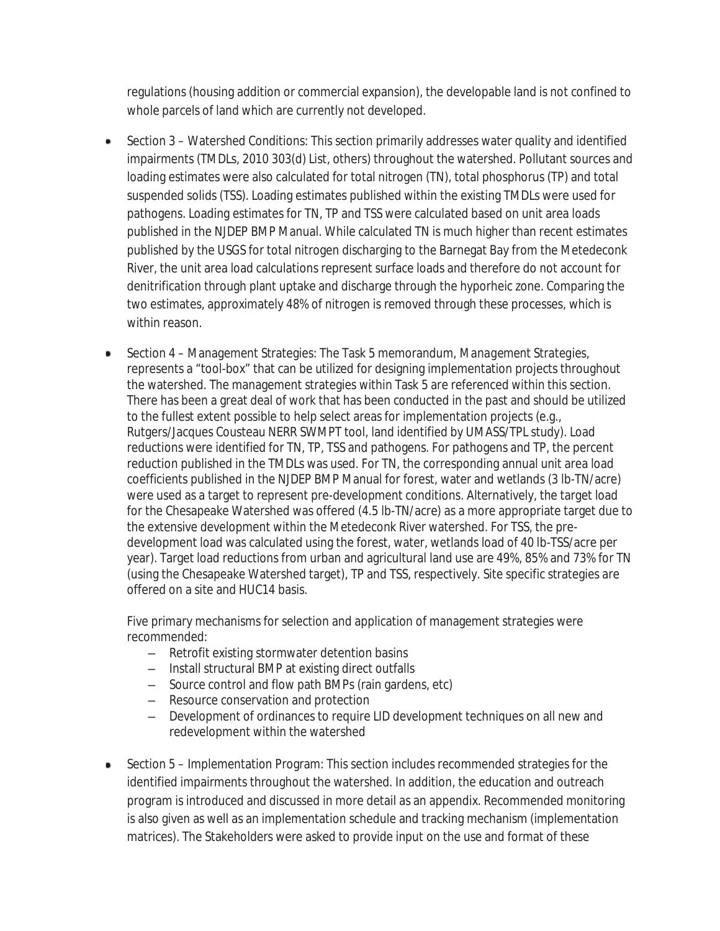regulations (housing addition or commercial expansion), the developable land is not confined to whole parcels of land which are currently not developed.

- Section 3 Watershed Conditions: This section primarily addresses water quality and identified ٠ impairments (TMDLs, 2010 303(d) List, others) throughout the watershed. Pollutant sources and loading estimates were also calculated for total nitrogen (TN), total phosphorus (TP) and total suspended solids (TSS). Loading estimates published within the existing TMDLs were used for pathogens. Loading estimates for TN, TP and TSS were calculated based on unit area loads published in the NJDEP BMP Manual. While calculated TN is much higher than recent estimates published by the USGS for total nitrogen discharging to the Barnegat Bay from the Metedeconk River, the unit area load calculations represent surface loads and therefore do not account for denitrification through plant uptake and discharge through the hyporheic zone. Comparing the two estimates, approximately 48% of nitrogen is removed through these processes, which is within reason.
- Section 4 Management Strategies: The Task 5 memorandum, *Management Strategies*, represents a "tool-box" that can be utilized for designing implementation projects throughout the watershed. The management strategies within Task 5 are referenced within this section. There has been a great deal of work that has been conducted in the past and should be utilized to the fullest extent possible to help select areas for implementation projects (e.g., Rutgers/Jacques Cousteau NERR SWMPT tool, land identified by UMASS/TPL study). Load reductions were identified for TN, TP, TSS and pathogens. For pathogens and TP, the percent reduction published in the TMDLs was used. For TN, the corresponding annual unit area load coefficients published in the NJDEP BMP Manual for forest, water and wetlands (3 lb-TN/acre) were used as a target to represent pre-development conditions. Alternatively, the target load for the Chesapeake Watershed was offered (4.5 lb-TN/acre) as a more appropriate target due to the extensive development within the Metedeconk River watershed. For TSS, the predevelopment load was calculated using the forest, water, wetlands load of 40 lb-TSS/acre per year). Target load reductions from urban and agricultural land use are 49%, 85% and 73% for TN (using the Chesapeake Watershed target), TP and TSS, respectively. Site specific strategies are offered on a site and HUC14 basis.

Five primary mechanisms for selection and application of management strategies were recommended:

- $\overline{-}$  Retrofit existing stormwater detention basins
- $\blacksquare$  Install structural BMP at existing direct outfalls
- $-$  Source control and flow path BMPs (rain gardens, etc)
- $\overline{-}$  Resource conservation and protection
- $\overline{-}$  Development of ordinances to require LID development techniques on all new and redevelopment within the watershed
- Section 5 Implementation Program: This section includes recommended strategies for the identified impairments throughout the watershed. In addition, the education and outreach program is introduced and discussed in more detail as an appendix. Recommended monitoring is also given as well as an implementation schedule and tracking mechanism (implementation matrices). The Stakeholders were asked to provide input on the use and format of these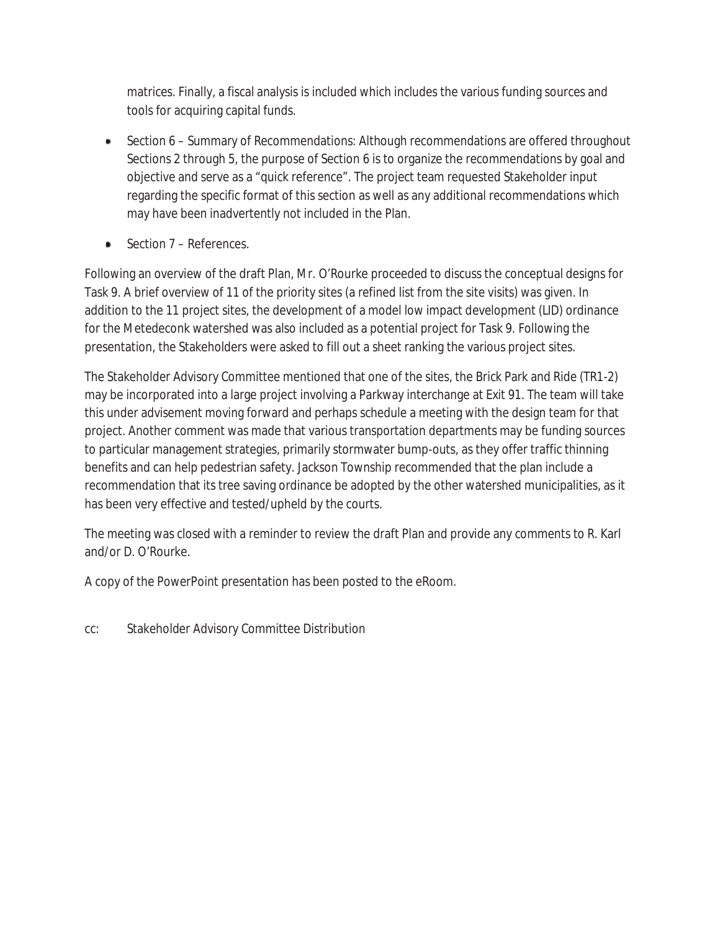matrices. Finally, a fiscal analysis is included which includes the various funding sources and tools for acquiring capital funds.

- Section 6 Summary of Recommendations: Although recommendations are offered throughout Sections 2 through 5, the purpose of Section 6 is to organize the recommendations by goal and objective and serve as a "quick reference". The project team requested Stakeholder input regarding the specific format of this section as well as any additional recommendations which may have been inadvertently not included in the Plan.
- Section 7 References.

Following an overview of the draft Plan, Mr. O'Rourke proceeded to discuss the conceptual designs for Task 9. A brief overview of 11 of the priority sites (a refined list from the site visits) was given. In addition to the 11 project sites, the development of a model low impact development (LID) ordinance for the Metedeconk watershed was also included as a potential project for Task 9. Following the presentation, the Stakeholders were asked to fill out a sheet ranking the various project sites.

The Stakeholder Advisory Committee mentioned that one of the sites, the Brick Park and Ride (TR1-2) may be incorporated into a large project involving a Parkway interchange at Exit 91. The team will take this under advisement moving forward and perhaps schedule a meeting with the design team for that project. Another comment was made that various transportation departments may be funding sources to particular management strategies, primarily stormwater bump-outs, as they offer traffic thinning benefits and can help pedestrian safety. Jackson Township recommended that the plan include a recommendation that its tree saving ordinance be adopted by the other watershed municipalities, as it has been very effective and tested/upheld by the courts.

The meeting was closed with a reminder to review the draft Plan and provide any comments to R. Karl and/or D. O'Rourke.

A copy of the PowerPoint presentation has been posted to the eRoom.

cc: Stakeholder Advisory Committee Distribution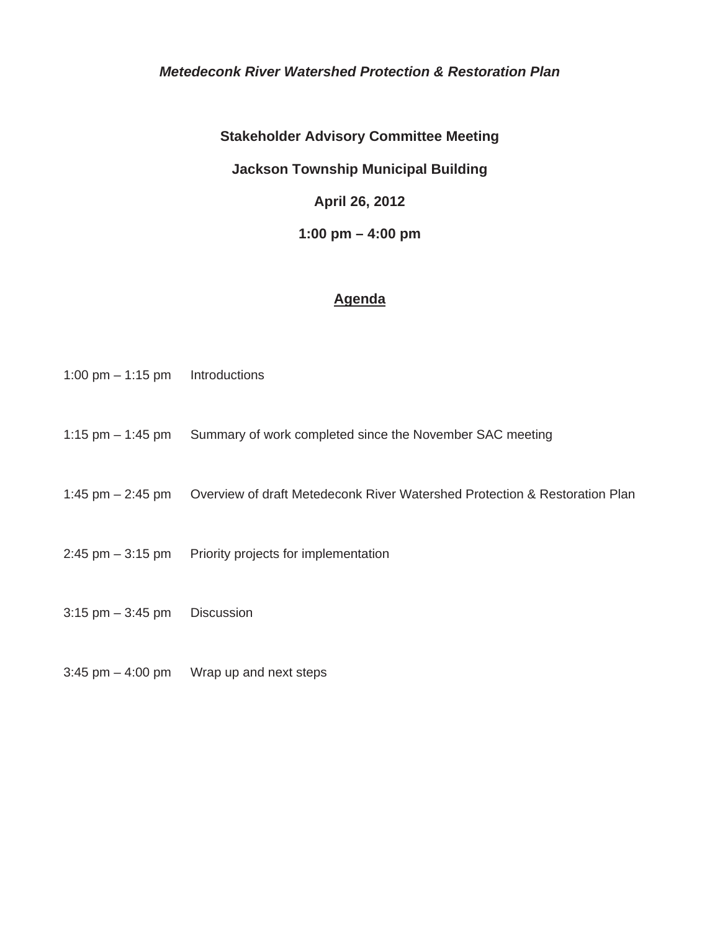### *Metedeconk River Watershed Protection & Restoration Plan*

**Stakeholder Advisory Committee Meeting** 

**Jackson Township Municipal Building** 

**April 26, 2012** 

**1:00 pm – 4:00 pm** 

### **Agenda**

- 1:00 pm 1:15 pm Introductions
- 1:15 pm 1:45 pm Summary of work completed since the November SAC meeting
- 1:45 pm 2:45 pm Overview of draft Metedeconk River Watershed Protection & Restoration Plan
- 2:45 pm 3:15 pm Priority projects for implementation
- $3:15$  pm  $-3:45$  pm Discussion
- $3:45$  pm  $-4:00$  pm Wrap up and next steps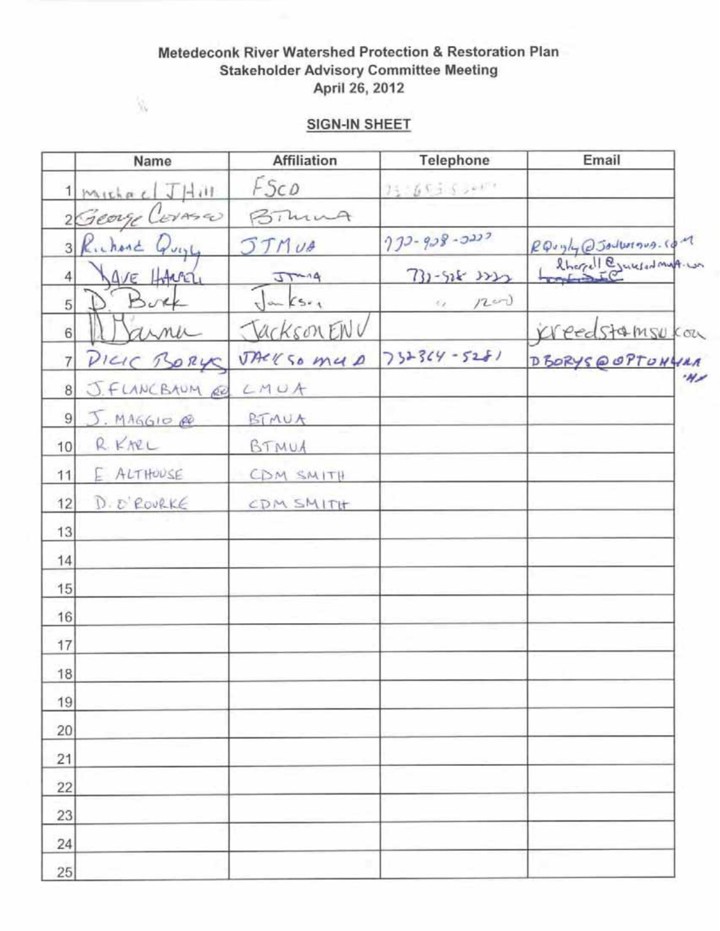# Metedeconk River Watershed Protection & Restoration Plan **Stakeholder Advisory Committee Meeting** April 26, 2012

# **SIGN-IN SHEET**

 $\mathbf{\hat{y}}_{i}$ 

|                | Name                               | <b>Affiliation</b> | Telephone                         | Email                 |
|----------------|------------------------------------|--------------------|-----------------------------------|-----------------------|
|                | $1$ Michael $J$ $\overline{H}$ ill | FSCD               | $15 - 65 + 50$                    |                       |
|                | 2 George Corase                    | Bimma              |                                   |                       |
|                | 3 Richard Quyl                     | <b>JTMUA</b>       | $222 - 928 - 2222$                | RQuyly @Jolborous.com |
| 4              | AVE HARRY                          | $37-14$            | $731 - 518$ $333$                 | Sherell Ejenerations. |
| 5              |                                    | $\sqrt{2}$         | 1200<br>$\mathcal{O}_\mathcal{X}$ |                       |
| 6 <sup>1</sup> | uma                                | Jackson ENV        |                                   | Kreedstamsukou        |
| $\overline{7}$ | PICIC BORY                         | TACKSO MUD         | $732364 - 5281$                   | DBORYS@OPTONYMA       |
| 8 <sup>1</sup> | J.FLANCBAUM RD                     | LMUA               |                                   | W                     |
| 9              | J. MAGGIO                          | BIMUA              |                                   |                       |
| 10             | RKNEL                              | BTMUA              |                                   |                       |
| 11             | E ALTHOUSE                         | CDM SMITH          |                                   |                       |
| 12             | D. D'ROURKE                        | CDM SMITH          |                                   |                       |
| 13             |                                    |                    |                                   |                       |
| 14             |                                    |                    |                                   |                       |
| 15             |                                    |                    |                                   |                       |
| 16             |                                    |                    |                                   |                       |
| 17             |                                    |                    |                                   |                       |
| 18             |                                    |                    |                                   |                       |
| 19             |                                    |                    |                                   |                       |
| 20             |                                    |                    |                                   |                       |
| 21             |                                    |                    |                                   |                       |
| 22             |                                    |                    |                                   |                       |
| 23             |                                    |                    |                                   |                       |
| 24             |                                    |                    |                                   |                       |
| 25             |                                    |                    |                                   |                       |